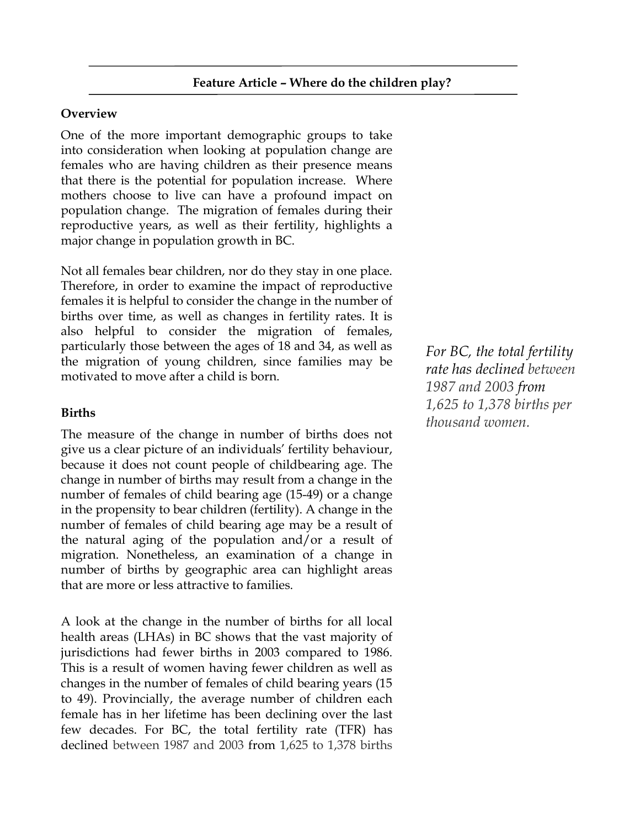# **Overview**

One of the more important demographic groups to take into consideration when looking at population change are females who are having children as their presence means that there is the potential for population increase. Where mothers choose to live can have a profound impact on population change. The migration of females during their reproductive years, as well as their fertility, highlights a major change in population growth in BC.

Not all females bear children, nor do they stay in one place. Therefore, in order to examine the impact of reproductive females it is helpful to consider the change in the number of births over time, as well as changes in fertility rates. It is also helpful to consider the migration of females, particularly those between the ages of 18 and 34, as well as the migration of young children, since families may be motivated to move after a child is born.

# **Births**

The measure of the change in number of births does not give us a clear picture of an individuals' fertility behaviour, because it does not count people of childbearing age. The change in number of births may result from a change in the number of females of child bearing age (15-49) or a change in the propensity to bear children (fertility). A change in the number of females of child bearing age may be a result of the natural aging of the population and/or a result of migration. Nonetheless, an examination of a change in number of births by geographic area can highlight areas that are more or less attractive to families.

A look at the change in the number of births for all local health areas (LHAs) in BC shows that the vast majority of jurisdictions had fewer births in 2003 compared to 1986. This is a result of women having fewer children as well as changes in the number of females of child bearing years (15 to 49). Provincially, the average number of children each female has in her lifetime has been declining over the last few decades. For BC, the total fertility rate (TFR) has declined between 1987 and 2003 from 1,625 to 1,378 births

*For BC, the total fertility rate has declined between 1987 and 2003 from 1,625 to 1,378 births per thousand women.*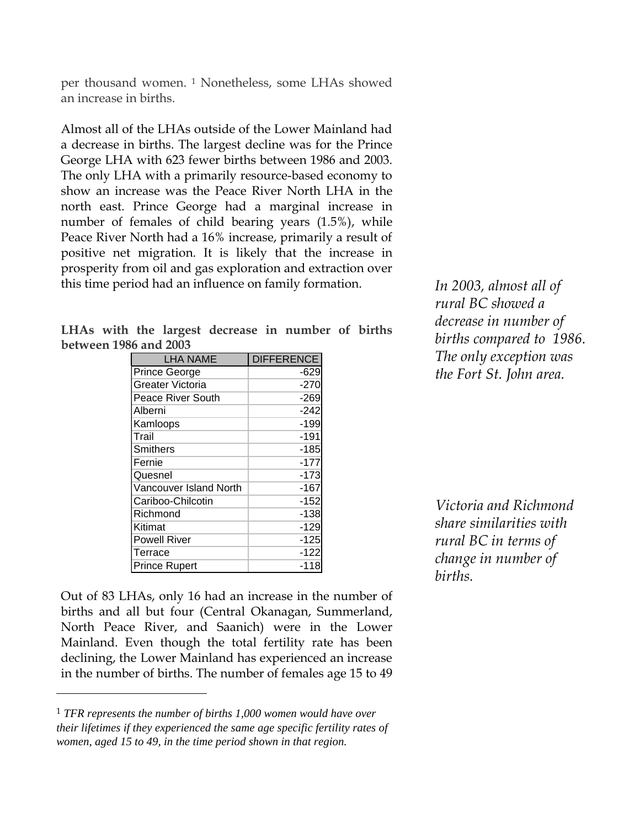per thousand women. <sup>1</sup> Nonetheless, some LHAs showed an increase in births.

Almost all of the LHAs outside of the Lower Mainland had a decrease in births. The largest decline was for the Prince George LHA with 623 fewer births between 1986 and 2003. The only LHA with a primarily resource-based economy to show an increase was the Peace River North LHA in the north east. Prince George had a marginal increase in number of females of child bearing years (1.5%), while Peace River North had a 16% increase, primarily a result of positive net migration. It is likely that the increase in prosperity from oil and gas exploration and extraction over this time period had an influence on family formation.

|                       |  | LHAs with the largest decrease in number of births |  |  |
|-----------------------|--|----------------------------------------------------|--|--|
| between 1986 and 2003 |  |                                                    |  |  |

| <b>LHA NAME</b>         | <b>DIFFERENCE</b> |
|-------------------------|-------------------|
| <b>Prince George</b>    | -629              |
| <b>Greater Victoria</b> | $-270$            |
| Peace River South       | $-269$            |
| Alberni                 | -242              |
| Kamloops                | $-199$            |
| Trail                   | $-191$            |
| Smithers                | $-185$            |
| Fernie                  | $-177$            |
| Quesnel                 | $-173$            |
| Vancouver Island North  | $-167$            |
| Cariboo-Chilcotin       | $-152$            |
| Richmond                | $-138$            |
| Kitimat                 | $-129$            |
| <b>Powell River</b>     | $-125$            |
| Terrace                 | $-122$            |
| Prince Rupert           | -118              |

Out of 83 LHAs, only 16 had an increase in the number of births and all but four (Central Okanagan, Summerland, North Peace River, and Saanich) were in the Lower Mainland. Even though the total fertility rate has been declining, the Lower Mainland has experienced an increase in the number of births. The number of females age 15 to 49

-

*In 2003, almost all of rural BC showed a decrease in number of births compared to 1986. The only exception was the Fort St. John area.*

*Victoria and Richmond share similarities with rural BC in terms of change in number of births.*

<sup>1</sup> *TFR represents the number of births 1,000 women would have over their lifetimes if they experienced the same age specific fertility rates of women, aged 15 to 49, in the time period shown in that region.*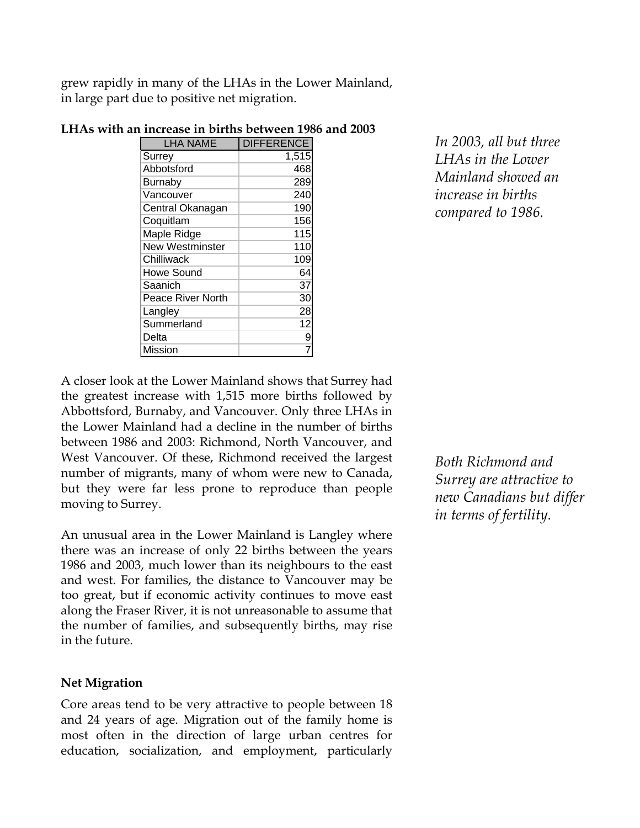grew rapidly in many of the LHAs in the Lower Mainland, in large part due to positive net migration.

| <b>LHA NAME</b>          | <b>DIFFERENCE</b> |
|--------------------------|-------------------|
| Surrey                   | 1,515             |
| Abbotsford               | 468               |
| <b>Burnaby</b>           | 289               |
| Vancouver                | 240               |
| Central Okanagan         | 190               |
| Coquitlam                | 156               |
| Maple Ridge              | 115               |
| <b>New Westminster</b>   | 110               |
| Chilliwack               | 109               |
| <b>Howe Sound</b>        | 64                |
| Saanich                  | 37                |
| <b>Peace River North</b> | 30                |
| Langley                  | 28                |
| Summerland               | 12                |
| Delta                    | 9                 |
| Mission                  |                   |

# **LHAs with an increase in births between 1986 and 2003**

*In 2003, all but three LHAs in the Lower Mainland showed an increase in births compared to 1986.*

A closer look at the Lower Mainland shows that Surrey had the greatest increase with 1,515 more births followed by Abbottsford, Burnaby, and Vancouver. Only three LHAs in the Lower Mainland had a decline in the number of births between 1986 and 2003: Richmond, North Vancouver, and West Vancouver. Of these, Richmond received the largest number of migrants, many of whom were new to Canada, but they were far less prone to reproduce than people moving to Surrey.

An unusual area in the Lower Mainland is Langley where there was an increase of only 22 births between the years 1986 and 2003, much lower than its neighbours to the east and west. For families, the distance to Vancouver may be too great, but if economic activity continues to move east along the Fraser River, it is not unreasonable to assume that the number of families, and subsequently births, may rise in the future.

#### **Net Migration**

Core areas tend to be very attractive to people between 18 and 24 years of age. Migration out of the family home is most often in the direction of large urban centres for education, socialization, and employment, particularly

*Both Richmond and Surrey are attractive to new Canadians but differ in terms of fertility.*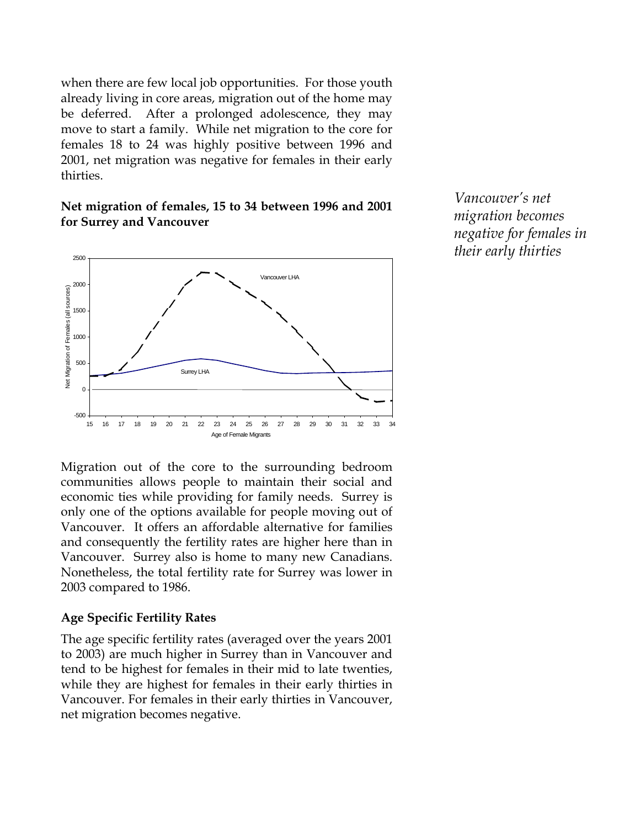when there are few local job opportunities. For those youth already living in core areas, migration out of the home may be deferred. After a prolonged adolescence, they may move to start a family. While net migration to the core for females 18 to 24 was highly positive between 1996 and 2001, net migration was negative for females in their early thirties.

## **Net migration of females, 15 to 34 between 1996 and 2001 for Surrey and Vancouver**



*Vancouver's net migration becomes negative for females in their early thirties*

Migration out of the core to the surrounding bedroom communities allows people to maintain their social and economic ties while providing for family needs. Surrey is only one of the options available for people moving out of Vancouver. It offers an affordable alternative for families and consequently the fertility rates are higher here than in Vancouver. Surrey also is home to many new Canadians. Nonetheless, the total fertility rate for Surrey was lower in 2003 compared to 1986.

#### **Age Specific Fertility Rates**

The age specific fertility rates (averaged over the years 2001 to 2003) are much higher in Surrey than in Vancouver and tend to be highest for females in their mid to late twenties, while they are highest for females in their early thirties in Vancouver. For females in their early thirties in Vancouver, net migration becomes negative.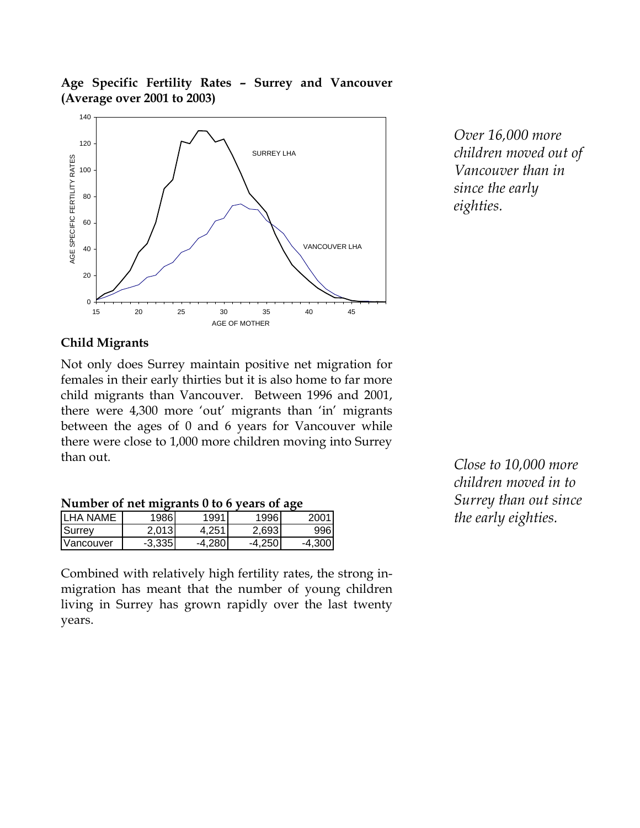**Age Specific Fertility Rates – Surrey and Vancouver (Average over 2001 to 2003)**



*Over 16,000 more children moved out of Vancouver than in since the early eighties.*

# **Child Migrants**

Not only does Surrey maintain positive net migration for females in their early thirties but it is also home to far more child migrants than Vancouver. Between 1996 and 2001, there were 4,300 more 'out' migrants than 'in' migrants between the ages of 0 and 6 years for Vancouver while there were close to 1,000 more children moving into Surrey than out.

| TVAIND CT OF TICL INTERATION OF OUR ORDER |          |                   |         |          |  |  |  |  |  |
|-------------------------------------------|----------|-------------------|---------|----------|--|--|--|--|--|
| <b>LHA NAME</b>                           | 19861    | 1991 <sub>1</sub> | 1996)   | 2001     |  |  |  |  |  |
| <b>ISurrev</b>                            | 2.013    | 4.251             | 2,693   | 996      |  |  |  |  |  |
| <b>IVancouver</b>                         | $-3.335$ | -4.2801           | -4.2501 | $-4.300$ |  |  |  |  |  |

**Number of net migrants 0 to 6 years of age**

Combined with relatively high fertility rates, the strong inmigration has meant that the number of young children living in Surrey has grown rapidly over the last twenty years.

*Close to 10,000 more children moved in to Surrey than out since the early eighties.*